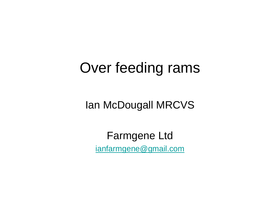## Over feeding rams

### Ian McDougall MRCVS

Farmgene Ltd [ianfarmgene@gmail.com](mailto:ianfarmgene@gmail.com)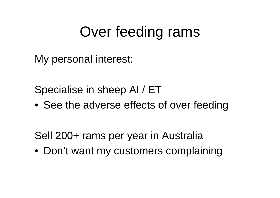# Over feeding rams

My personal interest:

Specialise in sheep AI / ET

• See the adverse effects of over feeding

Sell 200+ rams per year in Australia

• Don't want my customers complaining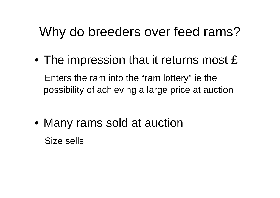### Why do breeders over feed rams?

• The impression that it returns most £ Enters the ram into the "ram lottery" ie the possibility of achieving a large price at auction

• Many rams sold at auction Size sells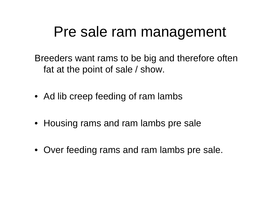### Pre sale ram management

Breeders want rams to be big and therefore often fat at the point of sale / show.

- Ad lib creep feeding of ram lambs
- Housing rams and ram lambs pre sale
- Over feeding rams and ram lambs pre sale.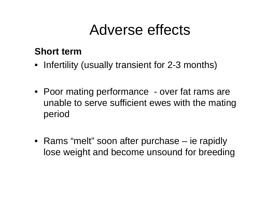## Adverse effects

#### **Short term**

- Infertility (usually transient for 2-3 months)
- Poor mating performance over fat rams are unable to serve sufficient ewes with the mating period
- Rams "melt" soon after purchase ie rapidly lose weight and become unsound for breeding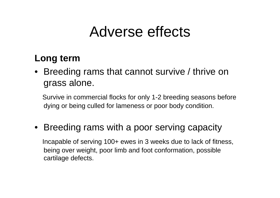### Adverse effects

#### **Long term**

• Breeding rams that cannot survive / thrive on grass alone.

Survive in commercial flocks for only 1-2 breeding seasons before dying or being culled for lameness or poor body condition.

### • Breeding rams with a poor serving capacity

Incapable of serving 100+ ewes in 3 weeks due to lack of fitness, being over weight, poor limb and foot conformation, possible cartilage defects.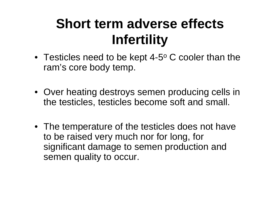## **Short term adverse effects Infertility**

- Testicles need to be kept 4-5 $\rm ^o$  C cooler than the ram's core body temp.
- Over heating destroys semen producing cells in the testicles, testicles become soft and small.
- The temperature of the testicles does not have to be raised very much nor for long, for significant damage to semen production and semen quality to occur.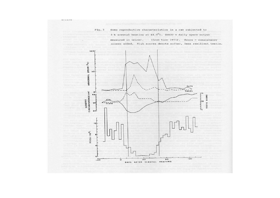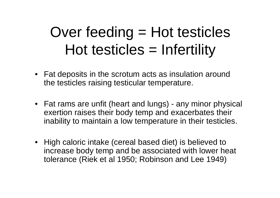# Over feeding = Hot testicles Hot testicles = Infertility

- Fat deposits in the scrotum acts as insulation around the testicles raising testicular temperature.
- Fat rams are unfit (heart and lungs) any minor physical exertion raises their body temp and exacerbates their inability to maintain a low temperature in their testicles.
- High caloric intake (cereal based diet) is believed to increase body temp and be associated with lower heat tolerance (Riek et al 1950; Robinson and Lee 1949)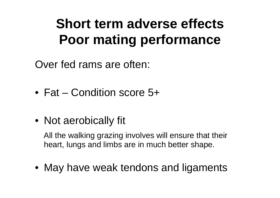## **Short term adverse effects Poor mating performance**

Over fed rams are often:

- Fat Condition score 5+
- Not aerobically fit

All the walking grazing involves will ensure that their heart, lungs and limbs are in much better shape.

• May have weak tendons and ligaments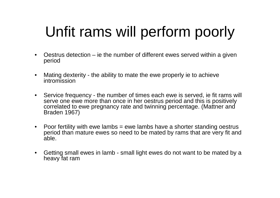# Unfit rams will perform poorly

- • Oestrus detection – ie the number of different ewes served within a given period
- $\bullet$  Mating dexterity - the ability to mate the ewe properly ie to achieve intromission
- • Service frequency - the number of times each ewe is served, ie fit rams will serve one ewe more than once in her oestrus period and this is positively correlated to ewe pregnancy rate and twinning percentage. (Mattner and Braden 1967)
- $\bullet$  Poor fertility with ewe lambs = ewe lambs have a shorter standing oestrus period than mature ewes so need to be mated by rams that are very fit and able.
- $\bullet$  Getting small ewes in lamb - small light ewes do not want to be mated by a heavy fat ram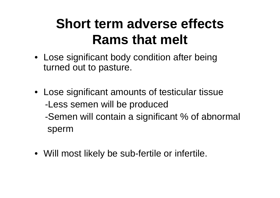### **Short term adverse effects Rams that melt**

- Lose significant body condition after being turned out to pasture.
- Lose significant amounts of testicular tissue -Less semen will be produced -Semen will contain a significant % of abnormal sperm
- Will most likely be sub-fertile or infertile.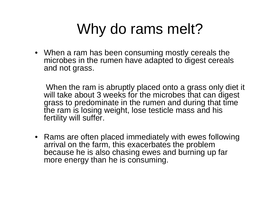# Why do rams melt?

• When a ram has been consuming mostly cereals the microbes in the rumen have adapted to digest cereals and not grass.

When the ram is abruptly placed onto a grass only diet it will take about 3 weeks for the microbes that can digest grass to predominate in the rumen and during that time the ram is losing weight, lose testicle mass and his fertility will suffer.

• Rams are often placed immediately with ewes following arrival on the farm, this exacerbates the problem because he is also chasing ewes and burning up far more energy than he is consuming.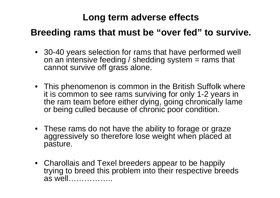#### **Long term adverse effects**

#### **Breeding rams that must be "over fed" to survive.**

- 30-40 years selection for rams that have performed well on an intensive feeding / shedding system  $=$  rams that cannot survive off grass alone.
- This phenomenon is common in the British Suffolk where it is common to see rams surviving for only 1-2 years in the ram team before either dying, going chronically lame or being culled because of chronic poor condition.
- These rams do not have the ability to forage or graze aggressively so therefore lose weight when placed at pasture.
- Charollais and Texel breeders appear to be happily trying to breed this problem into their respective breeds as well……………..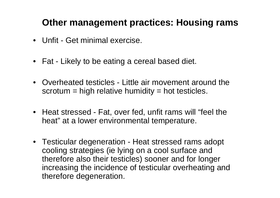#### **Other management practices: Housing rams**

- Unfit Get minimal exercise.
- Fat Likely to be eating a cereal based diet.
- Overheated testicles Little air movement around the  $s$ crotum = high relative humidity = hot testicles.
- Heat stressed Fat, over fed, unfit rams will "feel the heat" at a lower environmental temperature.
- Testicular degeneration Heat stressed rams adopt cooling strategies (ie lying on a cool surface and therefore also their testicles) sooner and for longer increasing the incidence of testicular overheating and therefore degeneration.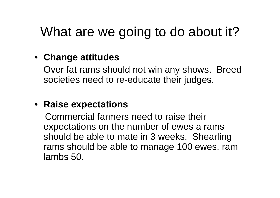### What are we going to do about it?

### • **Change attitudes**

Over fat rams should not win any shows. Breed societies need to re-educate their judges.

#### • **Raise expectations**

Commercial farmers need to raise their expectations on the number of ewes a rams should be able to mate in 3 weeks. Shearling rams should be able to manage 100 ewes, ram lambs 50.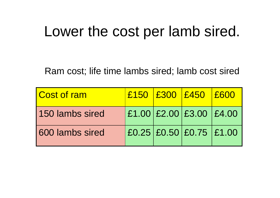### Lower the cost per lamb sired.

Ram cost; life time lambs sired; lamb cost sired

| Cost of ram     |  | £150 £300 £450 £600     |  |
|-----------------|--|-------------------------|--|
| 150 lambs sired |  | £1.00 £2.00 £3.00 £4.00 |  |
| 600 lambs sired |  | £0.25 £0.50 £0.75 £1.00 |  |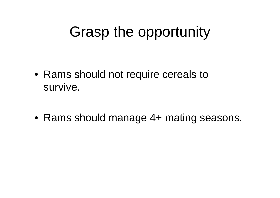# Grasp the opportunity

• Rams should not require cereals to survive.

• Rams should manage 4+ mating seasons.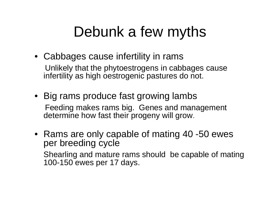# Debunk a few myths

- Cabbages cause infertility in rams Unlikely that the phytoestrogens in cabbages cause infertility as high oestrogenic pastures do not.
- Big rams produce fast growing lambs Feeding makes rams big. Genes and management determine how fast their progeny will grow.
- Rams are only capable of mating 40 -50 ewes per breeding cycle Shearling and mature rams should be capable of mating 100-150 ewes per 17 days.